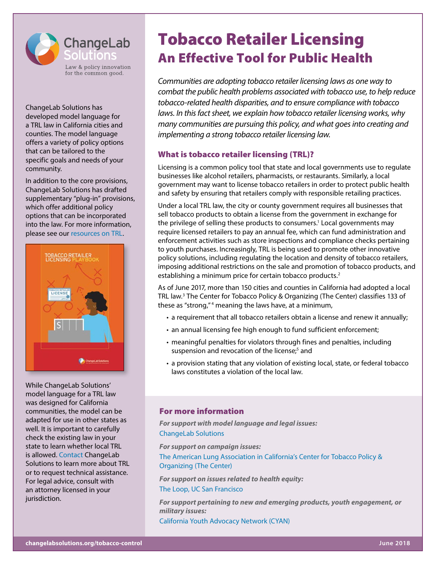

ChangeLab Solutions has developed model language for a TRL law in California cities and counties. The model language offers a variety of policy options that can be tailored to the specific goals and needs of your community.

In addition to the core provisions, ChangeLab Solutions has drafted supplementary "plug-in" provisions, which offer additional policy options that can be incorporated into the law. For more information, please see our [resources on TRL](http://www.changelabsolutions.org/publications/model-TRL-ordinance).



While ChangeLab Solutions' model language for a TRL law was designed for California communities, the model can be adapted for use in other states as well. It is important to carefully check the existing law in your state to learn whether local TRL is allowed. [Contact](http://changelabsolutions.org/changelab-solutions-contact-us) ChangeLab Solutions to learn more about TRL or to request technical assistance. For legal advice, consult with an attorney licensed in your jurisdiction.

# Tobacco Retailer Licensing An Effective Tool for Public Health

*Communities are adopting tobacco retailer licensing laws as one way to combat the public health problems associated with tobacco use, to help reduce tobacco-related health disparities, and to ensure compliance with tobacco*  laws. In this fact sheet, we explain how tobacco retailer licensing works, why *many communities are pursuing this policy, and what goes into creating and implementing a strong tobacco retailer licensing law.*

# What is tobacco retailer licensing (TRL)?

Licensing is a common policy tool that state and local governments use to regulate businesses like alcohol retailers, pharmacists, or restaurants. Similarly, a local government may want to license tobacco retailers in order to protect public health and safety by ensuring that retailers comply with responsible retailing practices.

Under a local TRL law, the city or county government requires all businesses that sell tobacco products to obtain a license from the government in exchange for the privilege of selling these products to consumers.<sup>1</sup> Local governments may require licensed retailers to pay an annual fee, which can fund administration and enforcement activities such as store inspections and compliance checks pertaining to youth purchases. Increasingly, TRL is being used to promote other innovative policy solutions, including regulating the location and density of tobacco retailers, imposing additional restrictions on the sale and promotion of tobacco products, and establishing a minimum price for certain tobacco products.<sup>2</sup>

As of June 2017, more than 150 cities and counties in California had adopted a local TRL law.3 The Center for Tobacco Policy & Organizing (The Center) classifies 133 of these as "strong,"<sup>4</sup> meaning the laws have, at a minimum,

- a requirement that all tobacco retailers obtain a license and renew it annually;
- an annual licensing fee high enough to fund sufficient enforcement;
- meaningful penalties for violators through fines and penalties, including suspension and revocation of the license;<sup>5</sup> and
- a provision stating that any violation of existing local, state, or federal tobacco laws constitutes a violation of the local law.

# For more information

*For support with model language and legal issues:* [ChangeLab Solutions](http://www.changelabsolutions.org)

*For support on campaign issues:*

[The American Lung Association in California's Center for Tobacco Policy &](http://www.Center4TobaccoPolicy.org)  [Organizing](http://www.Center4TobaccoPolicy.org) (The Center)

*For support on issues related to health equity:* [The Loop, UC San Francisco](https://theloop.ucsf.edu/)

*For support pertaining to new and emerging products, youth engagement, or military issues:*

[California Youth Advocacy Network](https://cyanonline.org/) (CYAN)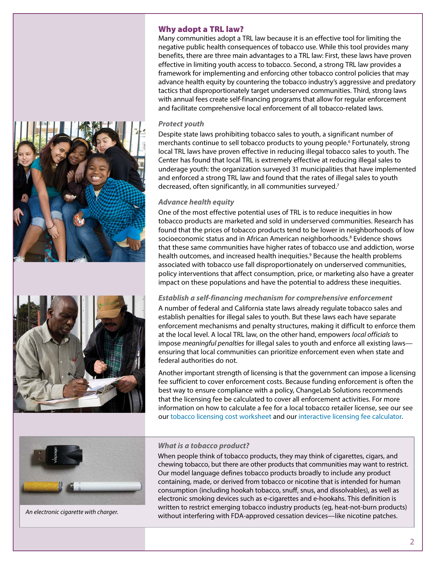# Why adopt a TRL law?

Many communities adopt a TRL law because it is an effective tool for limiting the negative public health consequences of tobacco use. While this tool provides many benefits, there are three main advantages to a TRL law: First, these laws have proven effective in limiting youth access to tobacco. Second, a strong TRL law provides a framework for implementing and enforcing other tobacco control policies that may advance health equity by countering the tobacco industry's aggressive and predatory tactics that disproportionately target underserved communities. Third, strong laws with annual fees create self-financing programs that allow for regular enforcement and facilitate comprehensive local enforcement of all tobacco-related laws.

# *Protect youth*

Despite state laws prohibiting tobacco sales to youth, a significant number of merchants continue to sell tobacco products to young people.<sup>6</sup> Fortunately, strong local TRL laws have proven effective in reducing illegal tobacco sales to youth. The Center has found that local TRL is extremely effective at reducing illegal sales to underage youth: the organization surveyed 31 municipalities that have implemented and enforced a strong TRL law and found that the rates of illegal sales to youth decreased, often significantly, in all communities surveyed.<sup>7</sup>

# *Advance health equity*

One of the most effective potential uses of TRL is to reduce inequities in how tobacco products are marketed and sold in underserved communities. Research has found that the prices of tobacco products tend to be lower in neighborhoods of low socioeconomic status and in African American neighborhoods.<sup>8</sup> Evidence shows that these same communities have higher rates of tobacco use and addiction, worse health outcomes, and increased health inequities.<sup>9</sup> Because the health problems associated with tobacco use fall disproportionately on underserved communities, policy interventions that affect consumption, price, or marketing also have a greater impact on these populations and have the potential to address these inequities.

### *Establish a self-financing mechanism for comprehensive enforcement*

A number of federal and California state laws already regulate tobacco sales and establish penalties for illegal sales to youth. But these laws each have separate enforcement mechanisms and penalty structures, making it difficult to enforce them at the local level. A local TRL law, on the other hand, empowers *local officials* to impose *meaningful penalties* for illegal sales to youth and enforce all existing laws ensuring that local communities can prioritize enforcement even when state and federal authorities do not.

Another important strength of licensing is that the government can impose a licensing fee sufficient to cover enforcement costs. Because funding enforcement is often the best way to ensure compliance with a policy, ChangeLab Solutions recommends that the licensing fee be calculated to cover all enforcement activities. For more information on how to calculate a fee for a local tobacco retailer license, see our see our [tobacco licensing cost worksheet](http://www.changelabsolutions.org/publications/trl-fee-calculator-checklist) and our [interactive licensing fee calculator](http://www.changelabsolutions.org/tobacco-control/trl-fee-calculator/).



*An electronic cigarette with charger.* 

# *What is a tobacco product?*

When people think of tobacco products, they may think of cigarettes, cigars, and chewing tobacco, but there are other products that communities may want to restrict. Our model language defines tobacco products broadly to include any product containing, made, or derived from tobacco or nicotine that is intended for human consumption (including hookah tobacco, snuff, snus, and dissolvables), as well as electronic smoking devices such as e-cigarettes and e-hookahs. This definition is written to restrict emerging tobacco industry products (eg, heat-not-burn products) without interfering with FDA-approved cessation devices—like nicotine patches.



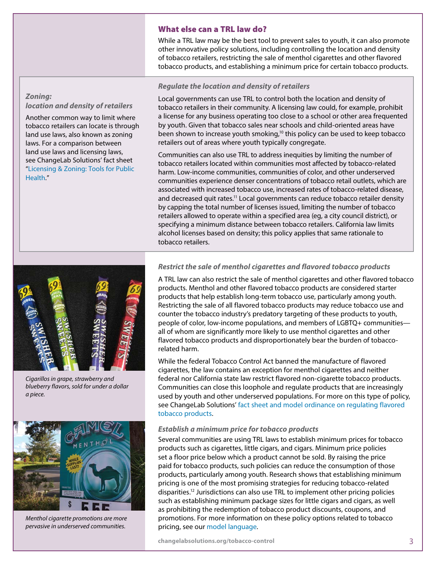#### What else can a TRL law do?

While a TRL law may be the best tool to prevent sales to youth, it can also promote other innovative policy solutions, including controlling the location and density of tobacco retailers, restricting the sale of menthol cigarettes and other flavored tobacco products, and establishing a minimum price for certain tobacco products.

# *Zoning: location and density of retailers*

Another common way to limit where tobacco retailers can locate is through land use laws, also known as zoning laws. For a comparison between land use laws and licensing laws, see ChangeLab Solutions' fact sheet "[Licensing & Zoning: Tools for Public](http://www.changelabsolutions.org/publications/licensing-zoning)  [Health.](http://www.changelabsolutions.org/publications/licensing-zoning)"

# *Regulate the location and density of retailers*

Local governments can use TRL to control both the location and density of tobacco retailers in their community. A licensing law could, for example, prohibit a license for any business operating too close to a school or other area frequented by youth. Given that tobacco sales near schools and child-oriented areas have been shown to increase youth smoking, $10$  this policy can be used to keep tobacco retailers out of areas where youth typically congregate.

Communities can also use TRL to address inequities by limiting the number of tobacco retailers located within communities most affected by tobacco-related harm. Low-income communities, communities of color, and other underserved communities experience denser concentrations of tobacco retail outlets, which are associated with increased tobacco use, increased rates of tobacco-related disease, and decreased quit rates.<sup>11</sup> Local governments can reduce tobacco retailer density by capping the total number of licenses issued, limiting the number of tobacco retailers allowed to operate within a specified area (eg, a city council district), or specifying a minimum distance between tobacco retailers. California law limits alcohol licenses based on density; this policy applies that same rationale to tobacco retailers.

*Cigarillos in grape, strawberry and blueberry flavors, sold for under a dollar a piece.* 



*Menthol cigarette promotions are more pervasive in underserved communities.*

#### *Restrict the sale of menthol cigarettes and flavored tobacco products*

A TRL law can also restrict the sale of menthol cigarettes and other flavored tobacco products. Menthol and other flavored tobacco products are considered starter products that help establish long-term tobacco use, particularly among youth. Restricting the sale of all flavored tobacco products may reduce tobacco use and counter the tobacco industry's predatory targeting of these products to youth, people of color, low-income populations, and members of LGBTQ+ communities all of whom are significantly more likely to use menthol cigarettes and other flavored tobacco products and disproportionately bear the burden of tobaccorelated harm.

While the federal Tobacco Control Act banned the manufacture of flavored cigarettes, the law contains an exception for menthol cigarettes and neither federal nor California state law restrict flavored non-cigarette tobacco products. Communities can close this loophole and regulate products that are increasingly used by youth and other underserved populations. For more on this type of policy, see ChangeLab Solutions' [fact sheet and model ordinance on regulating flavored](http://changelabsolutions.org/publications/flavored-tobacco)  [tobacco products.](http://changelabsolutions.org/publications/flavored-tobacco)

#### *Establish a minimum price for tobacco products*

Several communities are using TRL laws to establish minimum prices for tobacco products such as cigarettes, little cigars, and cigars. Minimum price policies set a floor price below which a product cannot be sold. By raising the price paid for tobacco products, such policies can reduce the consumption of those products, particularly among youth. Research shows that establishing minimum pricing is one of the most promising strategies for reducing tobacco-related disparities.12 Jurisdictions can also use TRL to implement other pricing policies such as establishing minimum package sizes for little cigars and cigars, as well as prohibiting the redemption of tobacco product discounts, coupons, and promotions. For more information on these policy options related to tobacco pricing, see our [model language.](http://changelabsolutions.org/publications/model-TRL-Ordinance)